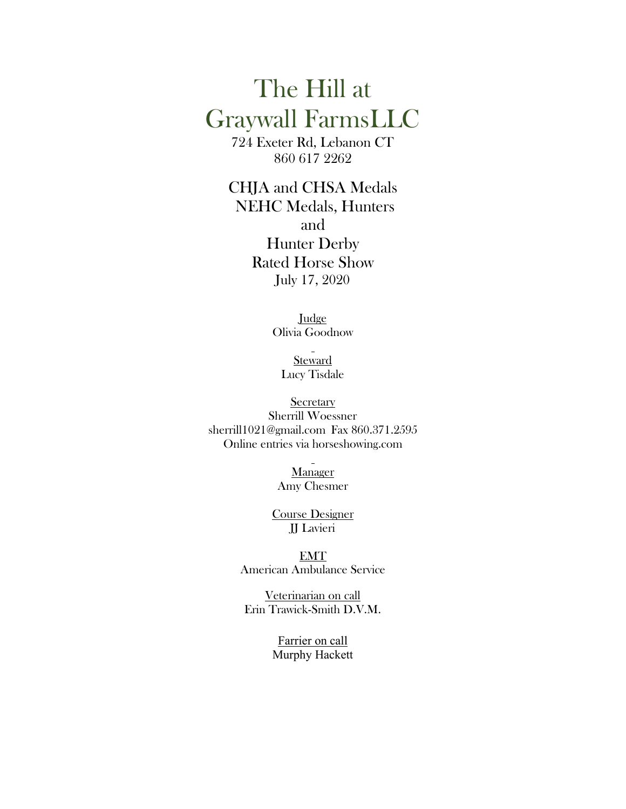# The Hill at Graywall FarmsLLC

724 Exeter Rd, Lebanon CT 860 617 2262

CHJA and CHSA Medals NEHC Medals, Hunters and Hunter Derby Rated Horse Show July 17, 2020

> Judge Olivia Goodnow

> > **Steward** Lucy Tisdale

**Secretary** Sherrill Woessner sherrill1021@gmail.com Fax 860.371.2595 Online entries via horseshowing.com

> Manager Amy Chesmer

Course Designer JJ Lavieri

EMT American Ambulance Service

Veterinarian on call Erin Trawick-Smith D.V.M.

> Farrier on call Murphy Hackett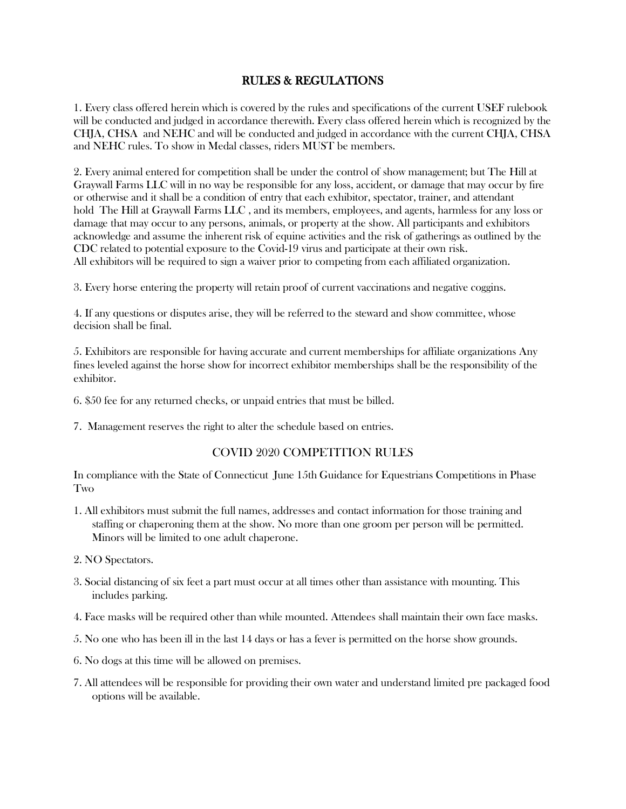## RULES & REGULATIONS

1. Every class offered herein which is covered by the rules and specifications of the current USEF rulebook will be conducted and judged in accordance therewith. Every class offered herein which is recognized by the CHJA, CHSA and NEHC and will be conducted and judged in accordance with the current CHJA, CHSA and NEHC rules. To show in Medal classes, riders MUST be members.

2. Every animal entered for competition shall be under the control of show management; but The Hill at Graywall Farms LLC will in no way be responsible for any loss, accident, or damage that may occur by fire or otherwise and it shall be a condition of entry that each exhibitor, spectator, trainer, and attendant hold The Hill at Graywall Farms LLC , and its members, employees, and agents, harmless for any loss or damage that may occur to any persons, animals, or property at the show. All participants and exhibitors acknowledge and assume the inherent risk of equine activities and the risk of gatherings as outlined by the CDC related to potential exposure to the Covid-19 virus and participate at their own risk. All exhibitors will be required to sign a waiver prior to competing from each affiliated organization.

3. Every horse entering the property will retain proof of current vaccinations and negative coggins.

4. If any questions or disputes arise, they will be referred to the steward and show committee, whose decision shall be final.

5. Exhibitors are responsible for having accurate and current memberships for affiliate organizations Any fines leveled against the horse show for incorrect exhibitor memberships shall be the responsibility of the exhibitor.

6. \$50 fee for any returned checks, or unpaid entries that must be billed.

7. Management reserves the right to alter the schedule based on entries.

#### COVID 2020 COMPETITION RULES

In compliance with the State of Connecticut June 15th Guidance for Equestrians Competitions in Phase Two

- 1. All exhibitors must submit the full names, addresses and contact information for those training and staffing or chaperoning them at the show. No more than one groom per person will be permitted. Minors will be limited to one adult chaperone.
- 2. NO Spectators.
- 3. Social distancing of six feet a part must occur at all times other than assistance with mounting. This includes parking.
- 4. Face masks will be required other than while mounted. Attendees shall maintain their own face masks.
- 5. No one who has been ill in the last 14 days or has a fever is permitted on the horse show grounds.
- 6. No dogs at this time will be allowed on premises.
- 7. All attendees will be responsible for providing their own water and understand limited pre packaged food options will be available.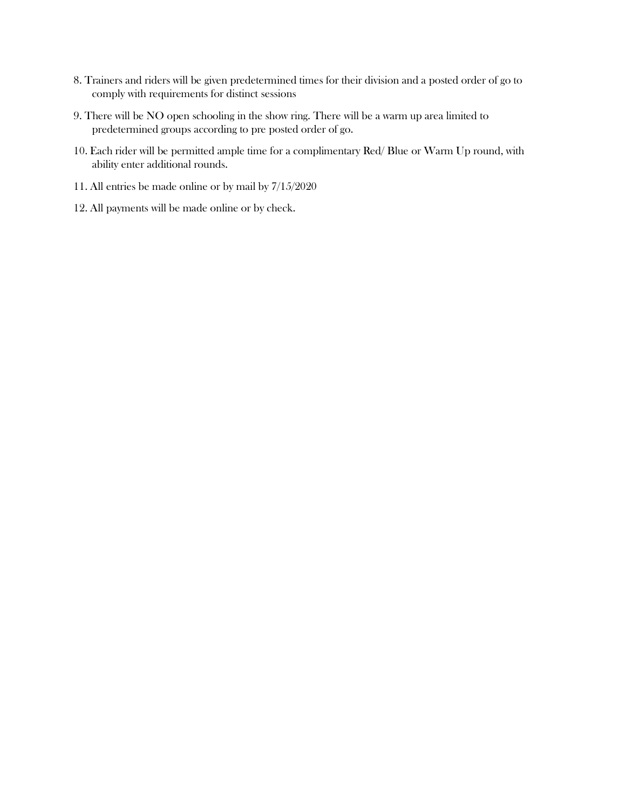- 8. Trainers and riders will be given predetermined times for their division and a posted order of go to comply with requirements for distinct sessions
- 9. There will be NO open schooling in the show ring. There will be a warm up area limited to predetermined groups according to pre posted order of go.
- 10. Each rider will be permitted ample time for a complimentary Red/ Blue or Warm Up round, with ability enter additional rounds.
- 11. All entries be made online or by mail by 7/15/2020
- 12. All payments will be made online or by check.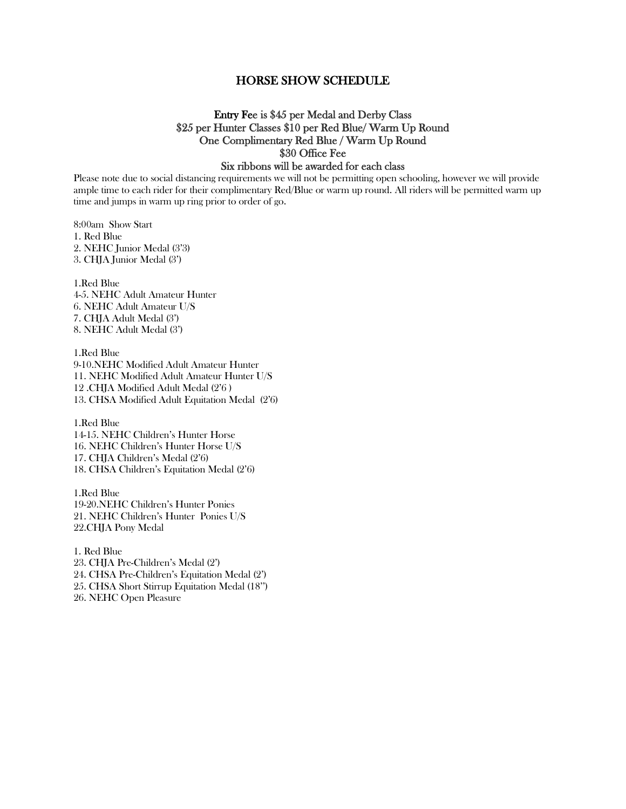#### HORSE SHOW SCHEDULE

## Entry Fee is \$45 per Medal and Derby Class \$25 per Hunter Classes \$10 per Red Blue/ Warm Up Round One Complimentary Red Blue / Warm Up Round \$30 Office Fee

### Six ribbons will be awarded for each class

Please note due to social distancing requirements we will not be permitting open schooling, however we will provide ample time to each rider for their complimentary Red/Blue or warm up round. All riders will be permitted warm up time and jumps in warm up ring prior to order of go.

8:00am Show Start 1. Red Blue 2. NEHC Junior Medal (3'3) 3. CHJA Junior Medal (3')

1.Red Blue 4-5. NEHC Adult Amateur Hunter 6. NEHC Adult Amateur U/S 7. CHJA Adult Medal (3') 8. NEHC Adult Medal (3')

1.Red Blue 9-10.NEHC Modified Adult Amateur Hunter 11. NEHC Modified Adult Amateur Hunter U/S 12 .CHJA Modified Adult Medal (2'6 ) 13. CHSA Modified Adult Equitation Medal (2'6)

1.Red Blue 14-15. NEHC Children's Hunter Horse 16. NEHC Children's Hunter Horse U/S 17. CHJA Children's Medal (2'6) 18. CHSA Children's Equitation Medal (2'6)

1.Red Blue 19-20.NEHC Children's Hunter Ponies 21. NEHC Children's Hunter Ponies U/S 22.CHJA Pony Medal

1. Red Blue 23. CHJA Pre-Children's Medal (2') 24. CHSA Pre-Children's Equitation Medal (2') 25. CHSA Short Stirrup Equitation Medal (18'') 26. NEHC Open Pleasure